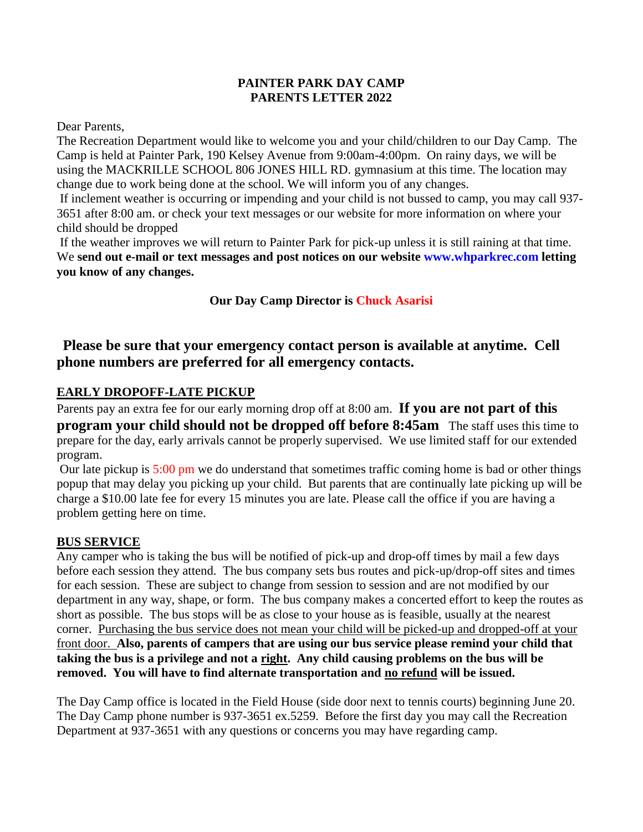#### **PAINTER PARK DAY CAMP PARENTS LETTER 2022**

Dear Parents,

The Recreation Department would like to welcome you and your child/children to our Day Camp. The Camp is held at Painter Park, 190 Kelsey Avenue from 9:00am-4:00pm. On rainy days, we will be using the MACKRILLE SCHOOL 806 JONES HILL RD. gymnasium at this time. The location may change due to work being done at the school. We will inform you of any changes.

If inclement weather is occurring or impending and your child is not bussed to camp, you may call 937- 3651 after 8:00 am. or check your text messages or our website for more information on where your child should be dropped

If the weather improves we will return to Painter Park for pick-up unless it is still raining at that time. We **send out e-mail or text messages and post notices on our website [www.whparkrec.com](http://www.whparkrec.com/) letting you know of any changes.**

## **Our Day Camp Director is Chuck Asarisi**

# **Please be sure that your emergency contact person is available at anytime. Cell phone numbers are preferred for all emergency contacts.**

## **EARLY DROPOFF-LATE PICKUP**

Parents pay an extra fee for our early morning drop off at 8:00 am. **If you are not part of this program your child should not be dropped off before 8:45am** The staff uses this time to prepare for the day, early arrivals cannot be properly supervised. We use limited staff for our extended program.

Our late pickup is 5:00 pm we do understand that sometimes traffic coming home is bad or other things popup that may delay you picking up your child. But parents that are continually late picking up will be charge a \$10.00 late fee for every 15 minutes you are late. Please call the office if you are having a problem getting here on time.

#### **BUS SERVICE**

Any camper who is taking the bus will be notified of pick-up and drop-off times by mail a few days before each session they attend. The bus company sets bus routes and pick-up/drop-off sites and times for each session. These are subject to change from session to session and are not modified by our department in any way, shape, or form. The bus company makes a concerted effort to keep the routes as short as possible. The bus stops will be as close to your house as is feasible, usually at the nearest corner. Purchasing the bus service does not mean your child will be picked-up and dropped-off at your front door. **Also, parents of campers that are using our bus service please remind your child that taking the bus is a privilege and not a right. Any child causing problems on the bus will be removed. You will have to find alternate transportation and no refund will be issued.**

The Day Camp office is located in the Field House (side door next to tennis courts) beginning June 20. The Day Camp phone number is 937-3651 ex.5259. Before the first day you may call the Recreation Department at 937-3651 with any questions or concerns you may have regarding camp.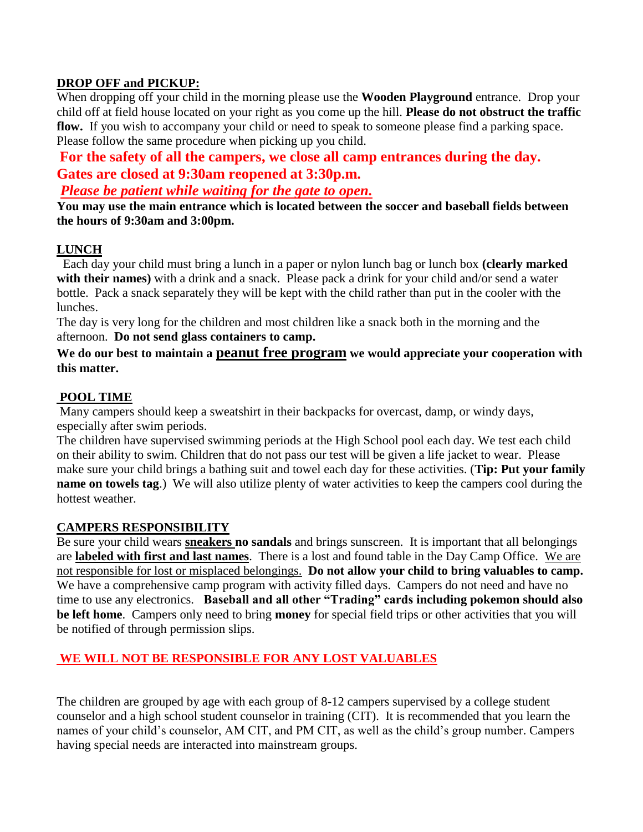#### **DROP OFF and PICKUP:**

When dropping off your child in the morning please use the **Wooden Playground** entrance. Drop your child off at field house located on your right as you come up the hill. **Please do not obstruct the traffic flow.** If you wish to accompany your child or need to speak to someone please find a parking space. Please follow the same procedure when picking up you child.

**For the safety of all the campers, we close all camp entrances during the day. Gates are closed at 9:30am reopened at 3:30p.m.**

*Please be patient while waiting for the gate to open.*

**You may use the main entrance which is located between the soccer and baseball fields between the hours of 9:30am and 3:00pm.** 

### **LUNCH**

 Each day your child must bring a lunch in a paper or nylon lunch bag or lunch box **(clearly marked with their names)** with a drink and a snack. Please pack a drink for your child and/or send a water bottle. Pack a snack separately they will be kept with the child rather than put in the cooler with the lunches.

The day is very long for the children and most children like a snack both in the morning and the afternoon. **Do not send glass containers to camp.**

#### **We do our best to maintain a peanut free program we would appreciate your cooperation with this matter.**

#### **POOL TIME**

Many campers should keep a sweatshirt in their backpacks for overcast, damp, or windy days, especially after swim periods.

The children have supervised swimming periods at the High School pool each day. We test each child on their ability to swim. Children that do not pass our test will be given a life jacket to wear. Please make sure your child brings a bathing suit and towel each day for these activities. (**Tip: Put your family name on towels tag.**) We will also utilize plenty of water activities to keep the campers cool during the hottest weather.

#### **CAMPERS RESPONSIBILITY**

Be sure your child wears **sneakers no sandals** and brings sunscreen. It is important that all belongings are **labeled with first and last names**. There is a lost and found table in the Day Camp Office. We are not responsible for lost or misplaced belongings. **Do not allow your child to bring valuables to camp.** We have a comprehensive camp program with activity filled days. Campers do not need and have no time to use any electronics. **Baseball and all other "Trading" cards including pokemon should also be left home**. Campers only need to bring **money** for special field trips or other activities that you will be notified of through permission slips.

#### **WE WILL NOT BE RESPONSIBLE FOR ANY LOST VALUABLES**

The children are grouped by age with each group of 8-12 campers supervised by a college student counselor and a high school student counselor in training (CIT). It is recommended that you learn the names of your child's counselor, AM CIT, and PM CIT, as well as the child's group number. Campers having special needs are interacted into mainstream groups.